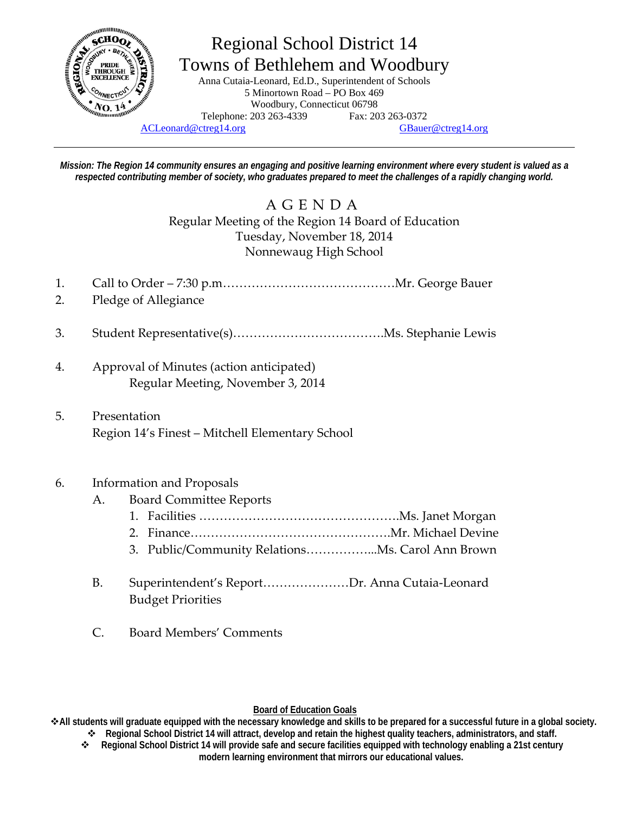

# Regional School District 14 Towns of Bethlehem and Woodbury Anna Cutaia-Leonard, Ed.D., Superintendent of Schools

5 Minortown Road – PO Box 469 Woodbury, Connecticut 06798 Telephone: 203 263-4339 Fax: 203 263-0372 ACLeonard@ctreg14.org GBauer@ctreg14.org

*Mission: The Region 14 community ensures an engaging and positive learning environment where every student is valued as a*  respected contributing member of society, who graduates prepared to meet the challenges of a rapidly changing world.

## AGENDA Regular Meeting of the Region 14 Board of Education Tuesday, November 18, 2014 Nonnewaug High School

- 1. Call to Order 7:30 p.m……………………………………Mr. George Bauer
- 2. Pledge of Allegiance
- 3. Student Representative(s)……………………………….Ms. Stephanie Lewis
- 4. Approval of Minutes (action anticipated) Regular Meeting, November 3, 2014
- 5. Presentation Region 14's Finest – Mitchell Elementary School

### 6. Information and Proposals

- A. Board Committee Reports
	- 1. Facilities ………………………………………….Ms. Janet Morgan
	- 2. Finance………………………………………….Mr. Michael Devine
	- 3. Public/Community Relations……………...Ms. Carol Ann Brown
- B. Superintendent's Report…………………Dr. Anna Cutaia‐Leonard Budget Priorities
- C. Board Members' Comments

#### **Board of Education Goals**

**All students will graduate equipped with the necessary knowledge and skills to be prepared for a successful future in a global society.** 

- **Regional School District 14 will attract, develop and retain the highest quality teachers, administrators, and staff. Regional School District 14 will provide safe and secure facilities equipped with technology enabling a 21st century** 
	- **modern learning environment that mirrors our educational values.**